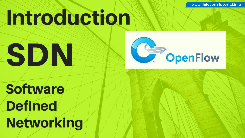www **TelecomTutorial.info .TelecomTutorial.info**

# Introduction





**Software Defined** Networking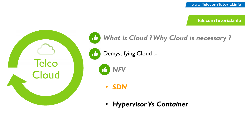**TelecomTutorial.info TelecomTutorial.info**





• *Hypervisor Vs Container*

• *NFV*

• *SDN*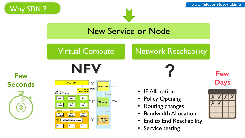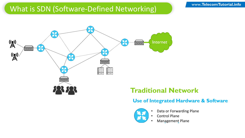## What is SDN (Software-Defined Networking)



## **Traditional Network**

#### **Use of Integrated Hardware & Software**



- Data or Forwarding Plane
- Control Plane
	- Management Plane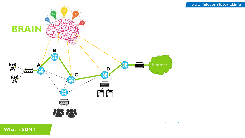

**What is SDN ?**

 $\bullet$  $\bullet$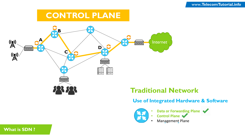# **CONTROL PLANE**



# **Traditional Network**

#### **Use of Integrated Hardware & Software**



- **Data or Forwarding Plane**
- **Control Plane**
	- Management Plane

#### **What is SDN ?**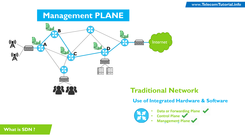# **Management PLANE**



### **Traditional Network**

#### **Use of Integrated Hardware & Software**



- **Data or Forwarding Plane**
- **Control Plane**
- **Management Plane**

#### **What is SDN ?**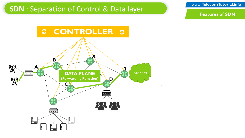## **SDN** : Separation of Control & Data layer

www **TelecomTutorial.info .TelecomTutorial.info**

**Features of SDN**

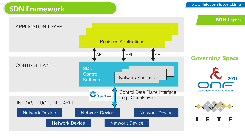## **SDN Framework**